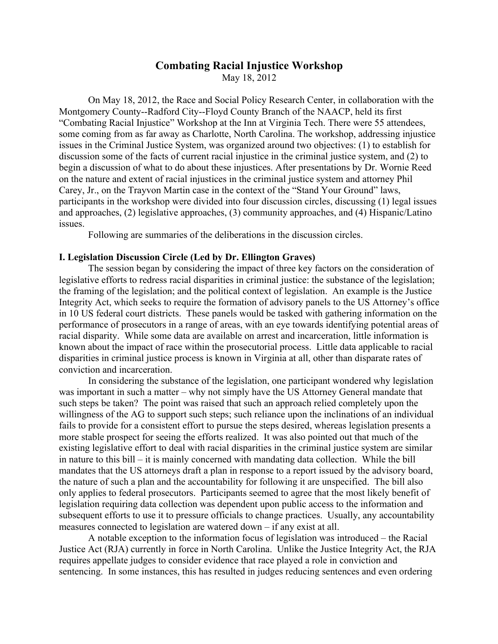# **Combating Racial Injustice Workshop** May 18, 2012

On May 18, 2012, the Race and Social Policy Research Center, in collaboration with the Montgomery County--Radford City--Floyd County Branch of the NAACP, held its first "Combating Racial Injustice" Workshop at the Inn at Virginia Tech. There were 55 attendees, some coming from as far away as Charlotte, North Carolina. The workshop, addressing injustice issues in the Criminal Justice System, was organized around two objectives: (1) to establish for discussion some of the facts of current racial injustice in the criminal justice system, and (2) to begin a discussion of what to do about these injustices. After presentations by Dr. Wornie Reed on the nature and extent of racial injustices in the criminal justice system and attorney Phil Carey, Jr., on the Trayvon Martin case in the context of the "Stand Your Ground" laws, participants in the workshop were divided into four discussion circles, discussing (1) legal issues and approaches, (2) legislative approaches, (3) community approaches, and (4) Hispanic/Latino issues.

Following are summaries of the deliberations in the discussion circles.

#### **I. Legislation Discussion Circle (Led by Dr. Ellington Graves)**

The session began by considering the impact of three key factors on the consideration of legislative efforts to redress racial disparities in criminal justice: the substance of the legislation; the framing of the legislation; and the political context of legislation. An example is the Justice Integrity Act, which seeks to require the formation of advisory panels to the US Attorney's office in 10 US federal court districts. These panels would be tasked with gathering information on the performance of prosecutors in a range of areas, with an eye towards identifying potential areas of racial disparity. While some data are available on arrest and incarceration, little information is known about the impact of race within the prosecutorial process. Little data applicable to racial disparities in criminal justice process is known in Virginia at all, other than disparate rates of conviction and incarceration.

In considering the substance of the legislation, one participant wondered why legislation was important in such a matter – why not simply have the US Attorney General mandate that such steps be taken? The point was raised that such an approach relied completely upon the willingness of the AG to support such steps; such reliance upon the inclinations of an individual fails to provide for a consistent effort to pursue the steps desired, whereas legislation presents a more stable prospect for seeing the efforts realized. It was also pointed out that much of the existing legislative effort to deal with racial disparities in the criminal justice system are similar in nature to this bill – it is mainly concerned with mandating data collection. While the bill mandates that the US attorneys draft a plan in response to a report issued by the advisory board, the nature of such a plan and the accountability for following it are unspecified. The bill also only applies to federal prosecutors. Participants seemed to agree that the most likely benefit of legislation requiring data collection was dependent upon public access to the information and subsequent efforts to use it to pressure officials to change practices. Usually, any accountability measures connected to legislation are watered down – if any exist at all.

A notable exception to the information focus of legislation was introduced – the Racial Justice Act (RJA) currently in force in North Carolina. Unlike the Justice Integrity Act, the RJA requires appellate judges to consider evidence that race played a role in conviction and sentencing. In some instances, this has resulted in judges reducing sentences and even ordering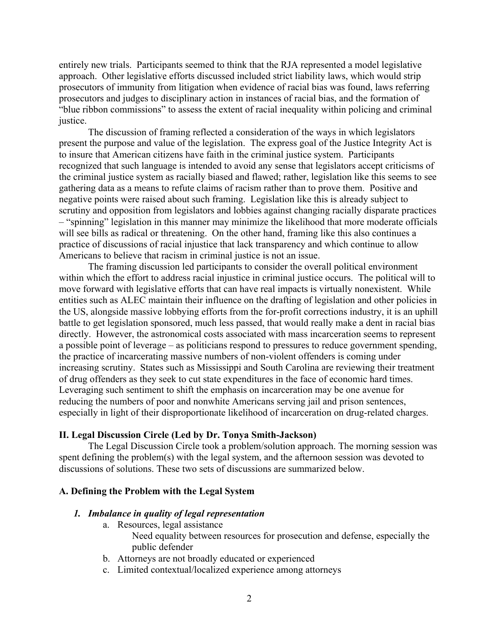entirely new trials. Participants seemed to think that the RJA represented a model legislative approach. Other legislative efforts discussed included strict liability laws, which would strip prosecutors of immunity from litigation when evidence of racial bias was found, laws referring prosecutors and judges to disciplinary action in instances of racial bias, and the formation of "blue ribbon commissions" to assess the extent of racial inequality within policing and criminal justice.

The discussion of framing reflected a consideration of the ways in which legislators present the purpose and value of the legislation. The express goal of the Justice Integrity Act is to insure that American citizens have faith in the criminal justice system. Participants recognized that such language is intended to avoid any sense that legislators accept criticisms of the criminal justice system as racially biased and flawed; rather, legislation like this seems to see gathering data as a means to refute claims of racism rather than to prove them. Positive and negative points were raised about such framing. Legislation like this is already subject to scrutiny and opposition from legislators and lobbies against changing racially disparate practices – "spinning" legislation in this manner may minimize the likelihood that more moderate officials will see bills as radical or threatening. On the other hand, framing like this also continues a practice of discussions of racial injustice that lack transparency and which continue to allow Americans to believe that racism in criminal justice is not an issue.

The framing discussion led participants to consider the overall political environment within which the effort to address racial injustice in criminal justice occurs. The political will to move forward with legislative efforts that can have real impacts is virtually nonexistent. While entities such as ALEC maintain their influence on the drafting of legislation and other policies in the US, alongside massive lobbying efforts from the for-profit corrections industry, it is an uphill battle to get legislation sponsored, much less passed, that would really make a dent in racial bias directly. However, the astronomical costs associated with mass incarceration seems to represent a possible point of leverage – as politicians respond to pressures to reduce government spending, the practice of incarcerating massive numbers of non-violent offenders is coming under increasing scrutiny. States such as Mississippi and South Carolina are reviewing their treatment of drug offenders as they seek to cut state expenditures in the face of economic hard times. Leveraging such sentiment to shift the emphasis on incarceration may be one avenue for reducing the numbers of poor and nonwhite Americans serving jail and prison sentences, especially in light of their disproportionate likelihood of incarceration on drug-related charges.

#### **II. Legal Discussion Circle (Led by Dr. Tonya Smith-Jackson)**

The Legal Discussion Circle took a problem/solution approach. The morning session was spent defining the problem(s) with the legal system, and the afternoon session was devoted to discussions of solutions. These two sets of discussions are summarized below.

#### **A. Defining the Problem with the Legal System**

#### *1. Imbalance in quality of legal representation*

- a. Resources, legal assistance
	- Need equality between resources for prosecution and defense, especially the public defender
- b. Attorneys are not broadly educated or experienced
- c. Limited contextual/localized experience among attorneys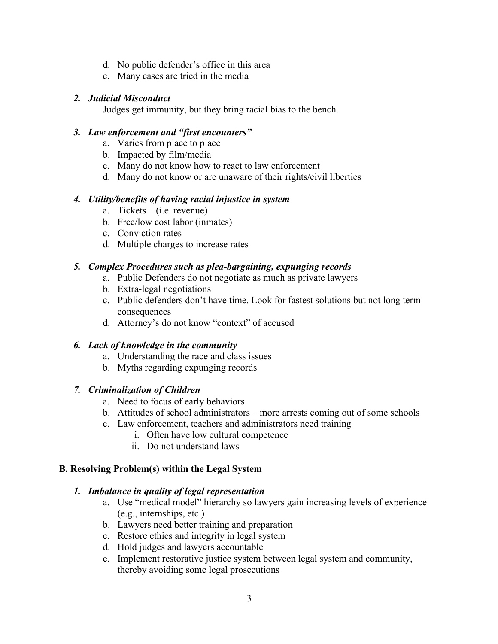- d. No public defender's office in this area
- e. Many cases are tried in the media

#### *2. Judicial Misconduct*

Judges get immunity, but they bring racial bias to the bench.

#### *3. Law enforcement and "first encounters"*

- a. Varies from place to place
- b. Impacted by film/media
- c. Many do not know how to react to law enforcement
- d. Many do not know or are unaware of their rights/civil liberties

## *4. Utility/benefits of having racial injustice in system*

- a. Tickets (i.e. revenue)
- b. Free/low cost labor (inmates)
- c. Conviction rates
- d. Multiple charges to increase rates

#### *5. Complex Procedures such as plea-bargaining, expunging records*

- a. Public Defenders do not negotiate as much as private lawyers
- b. Extra-legal negotiations
- c. Public defenders don't have time. Look for fastest solutions but not long term consequences
- d. Attorney's do not know "context" of accused

## *6. Lack of knowledge in the community*

- a. Understanding the race and class issues
- b. Myths regarding expunging records

## *7. Criminalization of Children*

- a. Need to focus of early behaviors
- b. Attitudes of school administrators more arrests coming out of some schools
- c. Law enforcement, teachers and administrators need training
	- i. Often have low cultural competence
	- ii. Do not understand laws

## **B. Resolving Problem(s) within the Legal System**

#### *1. Imbalance in quality of legal representation*

- a. Use "medical model" hierarchy so lawyers gain increasing levels of experience (e.g., internships, etc.)
- b. Lawyers need better training and preparation
- c. Restore ethics and integrity in legal system
- d. Hold judges and lawyers accountable
- e. Implement restorative justice system between legal system and community, thereby avoiding some legal prosecutions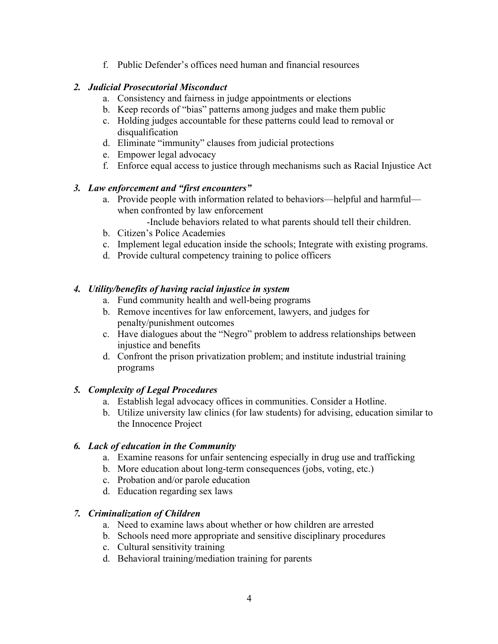f. Public Defender's offices need human and financial resources

## *2. Judicial Prosecutorial Misconduct*

- a. Consistency and fairness in judge appointments or elections
- b. Keep records of "bias" patterns among judges and make them public
- c. Holding judges accountable for these patterns could lead to removal or disqualification
- d. Eliminate "immunity" clauses from judicial protections
- e. Empower legal advocacy
- f. Enforce equal access to justice through mechanisms such as Racial Injustice Act

#### *3. Law enforcement and "first encounters"*

- a. Provide people with information related to behaviors—helpful and harmful when confronted by law enforcement
	- -Include behaviors related to what parents should tell their children.
- b. Citizen's Police Academies
- c. Implement legal education inside the schools; Integrate with existing programs.
- d. Provide cultural competency training to police officers

#### *4. Utility/benefits of having racial injustice in system*

- a. Fund community health and well-being programs
- b. Remove incentives for law enforcement, lawyers, and judges for penalty/punishment outcomes
- c. Have dialogues about the "Negro" problem to address relationships between injustice and benefits
- d. Confront the prison privatization problem; and institute industrial training programs

## *5. Complexity of Legal Procedures*

- a. Establish legal advocacy offices in communities. Consider a Hotline.
- b. Utilize university law clinics (for law students) for advising, education similar to the Innocence Project

#### *6. Lack of education in the Community*

- a. Examine reasons for unfair sentencing especially in drug use and trafficking
- b. More education about long-term consequences (jobs, voting, etc.)
- c. Probation and/or parole education
- d. Education regarding sex laws

#### *7. Criminalization of Children*

- a. Need to examine laws about whether or how children are arrested
- b. Schools need more appropriate and sensitive disciplinary procedures
- c. Cultural sensitivity training
- d. Behavioral training/mediation training for parents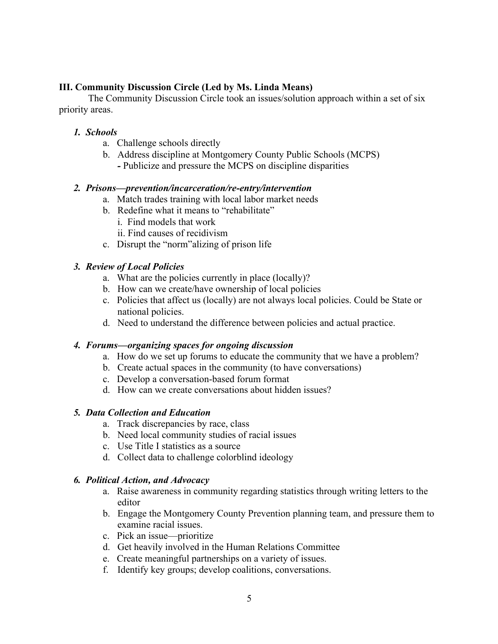### **III. Community Discussion Circle (Led by Ms. Linda Means)**

The Community Discussion Circle took an issues/solution approach within a set of six priority areas.

#### *1. Schools*

- a. Challenge schools directly
- b. Address discipline at Montgomery County Public Schools (MCPS)
	- *-* Publicize and pressure the MCPS on discipline disparities

#### *2. Prisons—prevention/incarceration/re-entry/intervention*

- a. Match trades training with local labor market needs
- b. Redefine what it means to "rehabilitate"
	- i. Find models that work
	- ii. Find causes of recidivism
- c. Disrupt the "norm"alizing of prison life

#### *3. Review of Local Policies*

- a. What are the policies currently in place (locally)?
- b. How can we create/have ownership of local policies
- c. Policies that affect us (locally) are not always local policies. Could be State or national policies.
- d. Need to understand the difference between policies and actual practice.

#### *4. Forums—organizing spaces for ongoing discussion*

- a. How do we set up forums to educate the community that we have a problem?
- b. Create actual spaces in the community (to have conversations)
- c. Develop a conversation-based forum format
- d. How can we create conversations about hidden issues?

#### *5. Data Collection and Education*

- a. Track discrepancies by race, class
- b. Need local community studies of racial issues
- c. Use Title I statistics as a source
- d. Collect data to challenge colorblind ideology

## *6. Political Action, and Advocacy*

- a. Raise awareness in community regarding statistics through writing letters to the editor
- b. Engage the Montgomery County Prevention planning team, and pressure them to examine racial issues.
- c. Pick an issue—prioritize
- d. Get heavily involved in the Human Relations Committee
- e. Create meaningful partnerships on a variety of issues.
- f. Identify key groups; develop coalitions, conversations.